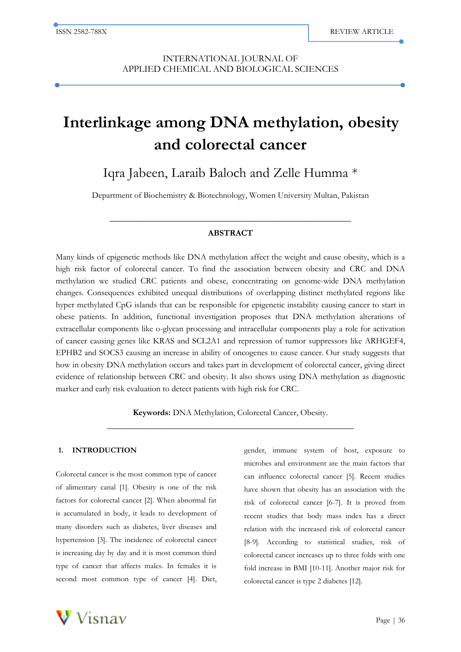j

# **Interlinkage among DNA methylation, obesity and colorectal cancer**

Iqra Jabeen, Laraib Baloch and Zelle Humma \*

Department of Biochemistry & Biotechnology, Women University Multan, Pakistan

# **ABSTRACT**

**\_\_\_\_\_\_\_\_\_\_\_\_\_\_\_\_\_\_\_\_\_\_\_\_\_\_\_\_\_\_\_\_\_\_\_\_\_\_\_\_\_\_\_\_\_\_\_\_\_\_\_\_**

Many kinds of epigenetic methods like DNA methylation affect the weight and cause obesity, which is a high risk factor of colorectal cancer. To find the association between obesity and CRC and DNA methylation we studied CRC patients and obese, concentrating on genome-wide DNA methylation changes. Consequences exhibited unequal distributions of overlapping distinct methylated regions like hyper methylated CpG islands that can be responsible for epigenetic instability causing cancer to start in obese patients. In addition, functional investigation proposes that DNA methylation alterations of extracellular components like o-glycan processing and intracellular components play a role for activation of cancer causing genes like KRAS and SCL2A1 and repression of tumor suppressors like ARHGEF4, EPHB2 and SOCS3 causing an increase in ability of oncogenes to cause cancer. Our study suggests that how in obesity DNA methylation occurs and takes part in development of colorectal cancer, giving direct evidence of relationship between CRC and obesity. It also shows using DNA methylation as diagnostic marker and early risk evaluation to detect patients with high risk for CRC.

> **Keywords:** DNA Methylation, Colorectal Cancer, Obesity. **\_\_\_\_\_\_\_\_\_\_\_\_\_\_\_\_\_\_\_\_\_\_\_\_\_\_\_\_\_\_\_\_\_\_\_\_\_\_\_\_\_\_\_\_\_\_\_\_\_\_\_\_\_**

#### **1. INTRODUCTION**

Colorectal cancer is the most common type of cancer of alimentary canal [1]. Obesity is one of the risk factors for colorectal cancer [2]. When abnormal fat is accumulated in body, it leads to development of many disorders such as diabetes, liver diseases and hypertension [3]. The incidence of colorectal cancer is increasing day by day and it is most common third type of cancer that affects males. In females it is second most common type of cancer [4]. Diet, gender, immune system of host, exposure to microbes and environment are the main factors that can influence colorectal cancer [5]. Recent studies have shown that obesity has an association with the risk of colorectal cancer [6-7]. It is proved from recent studies that body mass index has a direct relation with the increased risk of colorectal cancer [8-9]. According to statistical studies, risk of colorectal cancer increases up to three folds with one fold increase in BMI [10-11]. Another major risk for colorectal cancer is type 2 diabetes [12].

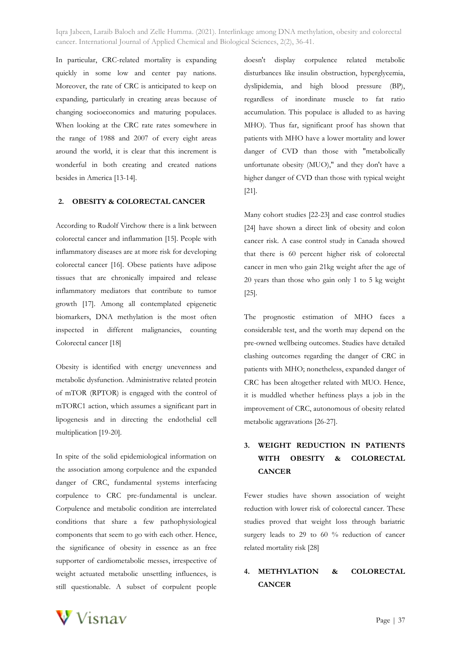In particular, CRC-related mortality is expanding quickly in some low and center pay nations. Moreover, the rate of CRC is anticipated to keep on expanding, particularly in creating areas because of changing socioeconomics and maturing populaces. When looking at the CRC rate rates somewhere in the range of 1988 and 2007 of every eight areas around the world, it is clear that this increment is wonderful in both creating and created nations besides in America [13-14].

# **2. OBESITY & COLORECTAL CANCER**

According to Rudolf Virchow there is a link between colorectal cancer and inflammation [15]. People with inflammatory diseases are at more risk for developing colorectal cancer [16]. Obese patients have adipose tissues that are chronically impaired and release inflammatory mediators that contribute to tumor growth [17]. Among all contemplated epigenetic biomarkers, DNA methylation is the most often inspected in different malignancies, counting Colorectal cancer [18]

Obesity is identified with energy unevenness and metabolic dysfunction. Administrative related protein of mTOR (RPTOR) is engaged with the control of mTORC1 action, which assumes a significant part in lipogenesis and in directing the endothelial cell multiplication [19-20].

In spite of the solid epidemiological information on the association among corpulence and the expanded danger of CRC, fundamental systems interfacing corpulence to CRC pre-fundamental is unclear. Corpulence and metabolic condition are interrelated conditions that share a few pathophysiological components that seem to go with each other. Hence, the significance of obesity in essence as an free supporter of cardiometabolic messes, irrespective of weight actuated metabolic unsettling influences, is still questionable. A subset of corpulent people doesn't display corpulence related metabolic disturbances like insulin obstruction, hyperglycemia, dyslipidemia, and high blood pressure (BP), regardless of inordinate muscle to fat ratio accumulation. This populace is alluded to as having MHO). Thus far, significant proof has shown that patients with MHO have a lower mortality and lower danger of CVD than those with "metabolically unfortunate obesity (MUO)," and they don't have a higher danger of CVD than those with typical weight [21].

Many cohort studies [22-23] and case control studies [24] have shown a direct link of obesity and colon cancer risk. A case control study in Canada showed that there is 60 percent higher risk of colorectal cancer in men who gain 21kg weight after the age of 20 years than those who gain only 1 to 5 kg weight [25].

The prognostic estimation of MHO faces a considerable test, and the worth may depend on the pre-owned wellbeing outcomes. Studies have detailed clashing outcomes regarding the danger of CRC in patients with MHO; nonetheless, expanded danger of CRC has been altogether related with MUO. Hence, it is muddled whether heftiness plays a job in the improvement of CRC, autonomous of obesity related metabolic aggravations [26-27].

# **3. WEIGHT REDUCTION IN PATIENTS WITH OBESITY & COLORECTAL CANCER**

Fewer studies have shown association of weight reduction with lower risk of colorectal cancer. These studies proved that weight loss through bariatric surgery leads to 29 to 60 % reduction of cancer related mortality risk [28]

# **4. METHYLATION & COLORECTAL CANCER**

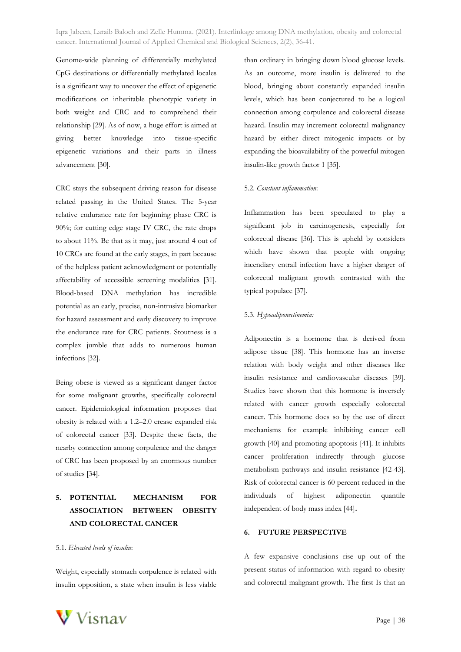Genome-wide planning of differentially methylated CpG destinations or differentially methylated locales is a significant way to uncover the effect of epigenetic modifications on inheritable phenotypic variety in both weight and CRC and to comprehend their relationship [29]. As of now, a huge effort is aimed at giving better knowledge into tissue-specific epigenetic variations and their parts in illness advancement [30].

CRC stays the subsequent driving reason for disease related passing in the United States. The 5-year relative endurance rate for beginning phase CRC is 90%; for cutting edge stage IV CRC, the rate drops to about 11%. Be that as it may, just around 4 out of 10 CRCs are found at the early stages, in part because of the helpless patient acknowledgment or potentially affectability of accessible screening modalities [31]. Blood-based DNA methylation has incredible potential as an early, precise, non-intrusive biomarker for hazard assessment and early discovery to improve the endurance rate for CRC patients. Stoutness is a complex jumble that adds to numerous human infections [32].

Being obese is viewed as a significant danger factor for some malignant growths, specifically colorectal cancer. Epidemiological information proposes that obesity is related with a 1.2–2.0 crease expanded risk of colorectal cancer [33]. Despite these facts, the nearby connection among corpulence and the danger of CRC has been proposed by an enormous number of studies [34].

# **5. POTENTIAL MECHANISM FOR ASSOCIATION BETWEEN OBESITY AND COLORECTAL CANCER**

## 5.1. *Elevated levels of insulin*:

Weight, especially stomach corpulence is related with insulin opposition, a state when insulin is less viable

than ordinary in bringing down blood glucose levels. As an outcome, more insulin is delivered to the blood, bringing about constantly expanded insulin levels, which has been conjectured to be a logical connection among corpulence and colorectal disease hazard. Insulin may increment colorectal malignancy hazard by either direct mitogenic impacts or by expanding the bioavailability of the powerful mitogen insulin-like growth factor 1 [35].

#### 5.2. *Constant inflammation*:

Inflammation has been speculated to play a significant job in carcinogenesis, especially for colorectal disease [36]. This is upheld by considers which have shown that people with ongoing incendiary entrail infection have a higher danger of colorectal malignant growth contrasted with the typical populace [37].

#### 5.3. *Hypoadiponectinemia:*

Adiponectin is a hormone that is derived from adipose tissue [38]. This hormone has an inverse relation with body weight and other diseases like insulin resistance and cardiovascular diseases [39]. Studies have shown that this hormone is inversely related with cancer growth especially colorectal cancer. This hormone does so by the use of direct mechanisms for example inhibiting cancer cell growth [40] and promoting apoptosis [41]. It inhibits cancer proliferation indirectly through glucose metabolism pathways and insulin resistance [42-43]. Risk of colorectal cancer is 60 percent reduced in the individuals of highest adiponectin quantile independent of body mass index [44]**.**

## **6. FUTURE PERSPECTIVE**

A few expansive conclusions rise up out of the present status of information with regard to obesity and colorectal malignant growth. The first Is that an

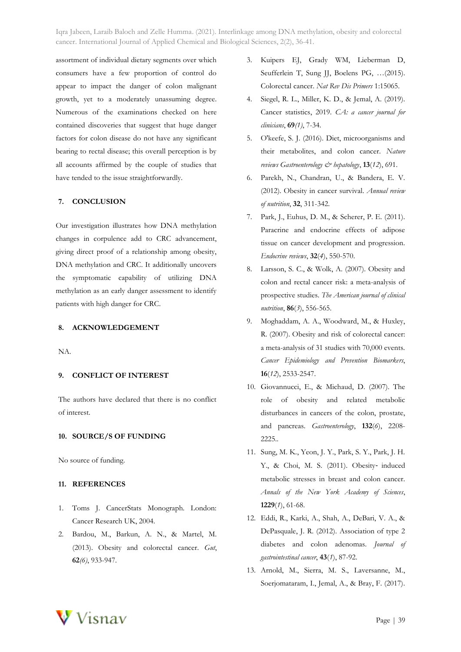assortment of individual dietary segments over which consumers have a few proportion of control do appear to impact the danger of colon malignant growth, yet to a moderately unassuming degree. Numerous of the examinations checked on here contained discoveries that suggest that huge danger factors for colon disease do not have any significant bearing to rectal disease; this overall perception is by all accounts affirmed by the couple of studies that have tended to the issue straightforwardly.

## **7. CONCLUSION**

Our investigation illustrates how DNA methylation changes in corpulence add to CRC advancement, giving direct proof of a relationship among obesity, DNA methylation and CRC. It additionally uncovers the symptomatic capability of utilizing DNA methylation as an early danger assessment to identify patients with high danger for CRC.

## **8. ACKNOWLEDGEMENT**

NA.

#### **9. CONFLICT OF INTEREST**

The authors have declared that there is no conflict of interest.

#### **10. SOURCE/S OF FUNDING**

No source of funding.

#### **11. REFERENCES**

- 1. Toms J. CancerStats Monograph. London: Cancer Research UK, 2004.
- 2. Bardou, M., Barkun, A. N., & Martel, M. (2013). Obesity and colorectal cancer. *Gut*, **62***(6)*, 933-947.
- 3. Kuipers EJ, Grady WM, Lieberman D, Seufferlein T, Sung JJ, Boelens PG, …(2015). Colorectal cancer. *Nat Rev Dis Primers* 1:15065.
- 4. Siegel, R. L., Miller, K. D., & Jemal, A. (2019). Cancer statistics, 2019. *CA: a cancer journal for clinicians*, **69***(1)*, 7-34.
- 5. O'keefe, S. J. (2016). Diet, microorganisms and their metabolites, and colon cancer. *Nature reviews Gastroenterology & hepatology*, **13**(*12*), 691.
- 6. Parekh, N., Chandran, U., & Bandera, E. V. (2012). Obesity in cancer survival. *Annual review of nutrition*, **32**, 311-342.
- 7. Park, J., Euhus, D. M., & Scherer, P. E. (2011). Paracrine and endocrine effects of adipose tissue on cancer development and progression. *Endocrine reviews*, **32**(*4*), 550-570.
- Larsson, S. C., & Wolk, A. (2007). Obesity and colon and rectal cancer risk: a meta-analysis of prospective studies. *The American journal of clinical nutrition*, **86**(*3*), 556-565.
- 9. Moghaddam, A. A., Woodward, M., & Huxley, R. (2007). Obesity and risk of colorectal cancer: a meta-analysis of 31 studies with 70,000 events. *Cancer Epidemiology and Prevention Biomarkers*, **16**(*12*), 2533-2547.
- 10. Giovannucci, E., & Michaud, D. (2007). The role of obesity and related metabolic disturbances in cancers of the colon, prostate, and pancreas. *Gastroenterology*, **132**(*6*), 2208- 2225..
- 11. Sung, M. K., Yeon, J. Y., Park, S. Y., Park, J. H. Y., & Choi, M. S. (2011). Obesity‐ induced metabolic stresses in breast and colon cancer. *Annals of the New York Academy of Sciences*, **1229**(*1*), 61-68.
- 12. Eddi, R., Karki, A., Shah, A., DeBari, V. A., & DePasquale, J. R. (2012). Association of type 2 diabetes and colon adenomas. *Journal of gastrointestinal cancer*, **43**(*1*), 87-92.
- 13. Arnold, M., Sierra, M. S., Laversanne, M., Soerjomataram, I., Jemal, A., & Bray, F. (2017).

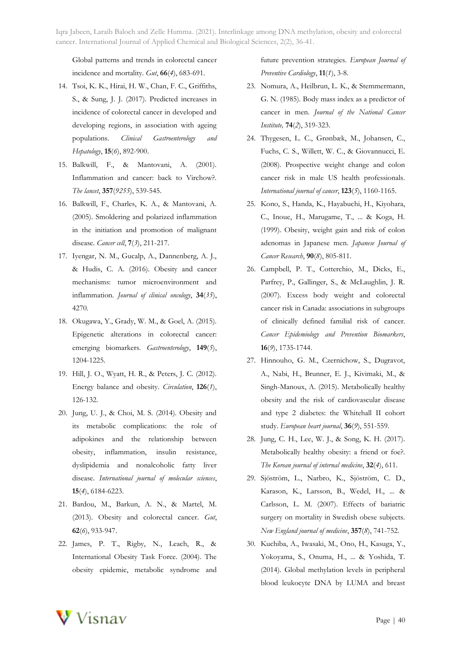Global patterns and trends in colorectal cancer incidence and mortality. *Gut*, **66**(*4*), 683-691.

- 14. Tsoi, K. K., Hirai, H. W., Chan, F. C., Griffiths, S., & Sung, J. J. (2017). Predicted increases in incidence of colorectal cancer in developed and developing regions, in association with ageing populations. *Clinical Gastroenterology and Hepatology*, **15**(*6*), 892-900.
- 15. Balkwill, F., & Mantovani, A. (2001). Inflammation and cancer: back to Virchow?. *The lancet*, **357**(*9255*), 539-545.
- 16. Balkwill, F., Charles, K. A., & Mantovani, A. (2005). Smoldering and polarized inflammation in the initiation and promotion of malignant disease. *Cancer cell*, **7**(*3*), 211-217.
- 17. Iyengar, N. M., Gucalp, A., Dannenberg, A. J., & Hudis, C. A. (2016). Obesity and cancer mechanisms: tumor microenvironment and inflammation. *Journal of clinical oncology*, **34**(*35*), 4270.
- 18. Okugawa, Y., Grady, W. M., & Goel, A. (2015). Epigenetic alterations in colorectal cancer: emerging biomarkers. *Gastroenterology*, **149**(*5*), 1204-1225.
- 19. Hill, J. O., Wyatt, H. R., & Peters, J. C. (2012). Energy balance and obesity. *Circulation*, **126**(*1*), 126-132.
- 20. Jung, U. J., & Choi, M. S. (2014). Obesity and its metabolic complications: the role of adipokines and the relationship between obesity, inflammation, insulin resistance, dyslipidemia and nonalcoholic fatty liver disease. *International journal of molecular sciences*, **15**(*4*), 6184-6223.
- 21. Bardou, M., Barkun, A. N., & Martel, M. (2013). Obesity and colorectal cancer. *Gut*, **62**(*6*), 933-947.
- 22. James, P. T., Rigby, N., Leach, R., & International Obesity Task Force. (2004). The obesity epidemic, metabolic syndrome and

future prevention strategies. *European Journal of Preventive Cardiology*, **11**(*1*), 3-8.

- 23. Nomura, A., Heilbrun, L. K., & Stemmermann, G. N. (1985). Body mass index as a predictor of cancer in men. *Journal of the National Cancer Institute,* **74**(*2*), 319-323.
- 24. Thygesen, L. C., Grønbæk, M., Johansen, C., Fuchs, C. S., Willett, W. C., & Giovannucci, E. (2008). Prospective weight change and colon cancer risk in male US health professionals. *International journal of cancer*, **123**(*5*), 1160-1165.
- 25. Kono, S., Handa, K., Hayabuchi, H., Kiyohara, C., Inoue, H., Marugame, T., ... & Koga, H. (1999). Obesity, weight gain and risk of colon adenomas in Japanese men. *Japanese Journal of Cancer Research*, **90**(*8*), 805-811.
- 26. Campbell, P. T., Cotterchio, M., Dicks, E., Parfrey, P., Gallinger, S., & McLaughlin, J. R. (2007). Excess body weight and colorectal cancer risk in Canada: associations in subgroups of clinically defined familial risk of cancer. *Cancer Epidemiology and Prevention Biomarkers*, **16**(*9*), 1735-1744.
- 27. Hinnouho, G. M., Czernichow, S., Dugravot, A., Nabi, H., Brunner, E. J., Kivimaki, M., & Singh-Manoux, A. (2015). Metabolically healthy obesity and the risk of cardiovascular disease and type 2 diabetes: the Whitehall II cohort study. *European heart journal*, **36**(*9*), 551-559.
- 28. Jung, C. H., Lee, W. J., & Song, K. H. (2017). Metabolically healthy obesity: a friend or foe?. *The Korean journal of internal medicine*, **32**(*4*), 611.
- 29. Sjöström, L., Narbro, K., Sjöström, C. D., Karason, K., Larsson, B., Wedel, H., ... & Carlsson, L. M. (2007). Effects of bariatric surgery on mortality in Swedish obese subjects. *New England journal of medicine*, **357**(*8*), 741-752.
- 30. Kuchiba, A., Iwasaki, M., Ono, H., Kasuga, Y., Yokoyama, S., Onuma, H., ... & Yoshida, T. (2014). Global methylation levels in peripheral blood leukocyte DNA by LUMA and breast